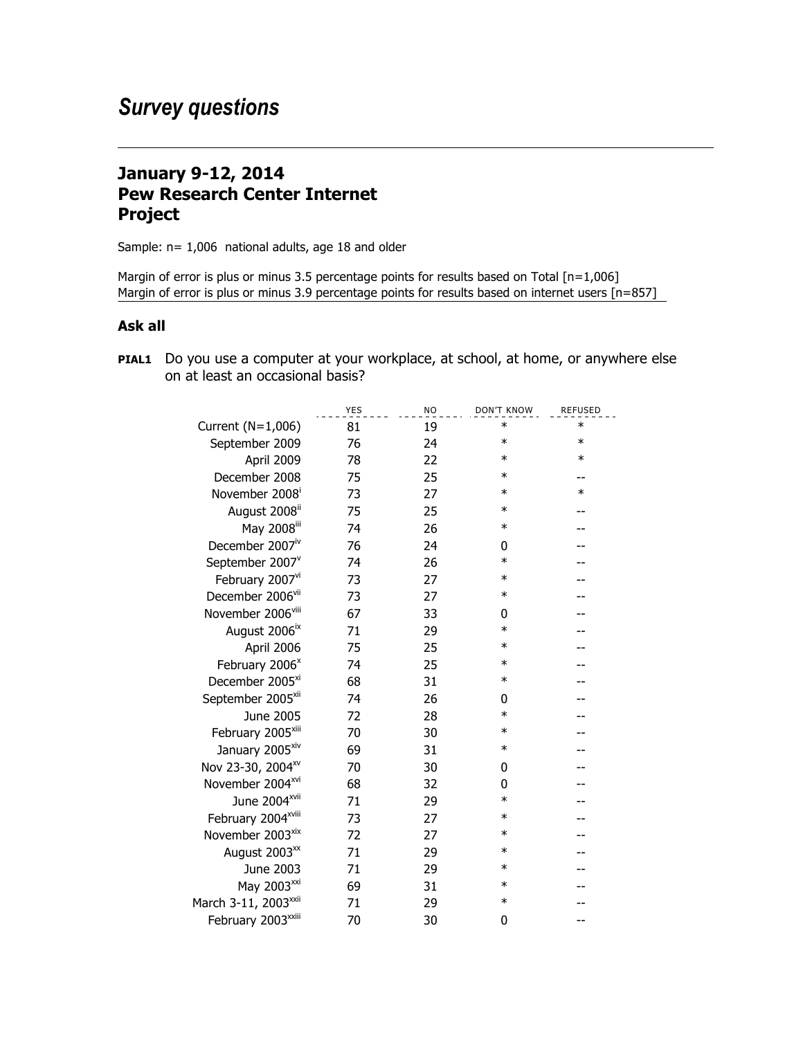## **January 9-12, 2014 Pew Research Center Internet Project**

Sample: n= 1,006 national adults, age 18 and older

Margin of error is plus or minus 3.5 percentage points for results based on Total [n=1,006] Margin of error is plus or minus 3.9 percentage points for results based on internet users [n=857]

## **Ask all**

**PIAL1** Do you use a computer at your workplace, at school, at home, or anywhere else on at least an occasional basis?

|                                  | <b>YES</b> | <b>NO</b> | <b>DON'T KNOW</b> | <b>REFUSED</b> |
|----------------------------------|------------|-----------|-------------------|----------------|
| Current (N=1,006)                | 81         | 19        | $\ast$            | $\ast$         |
| September 2009                   | 76         | 24        | $\ast$            | $\ast$         |
| April 2009                       | 78         | 22        | $\ast$            | $\ast$         |
| December 2008                    | 75         | 25        | $\ast$            |                |
| November 2008 <sup>i</sup>       | 73         | 27        | $\ast$            | $\ast$         |
| August 2008 <sup>ii</sup>        | 75         | 25        | $\ast$            |                |
| May 2008 <sup>iii</sup>          | 74         | 26        | $\ast$            |                |
| December 2007 <sup>iv</sup>      | 76         | 24        | 0                 |                |
| September 2007 <sup>v</sup>      | 74         | 26        | $\ast$            |                |
| February 2007vi                  | 73         | 27        | $\ast$            |                |
| December 2006 <sup>vii</sup>     | 73         | 27        | $\ast$            |                |
| November 2006viii                | 67         | 33        | 0                 |                |
| August 2006 <sup>ix</sup>        | 71         | 29        | $\ast$            |                |
| April 2006                       | 75         | 25        | $\ast$            |                |
| February 2006 <sup>x</sup>       | 74         | 25        | $\ast$            |                |
| December 2005 <sup>xi</sup>      | 68         | 31        | $\ast$            |                |
| September 2005 <sup>xii</sup>    | 74         | 26        | 0                 |                |
| June 2005                        | 72         | 28        | $\ast$            |                |
| February 2005 <sup>xiii</sup>    | 70         | 30        | $\ast$            |                |
| January 2005 <sup>xiv</sup>      | 69         | 31        | $\ast$            |                |
| Nov 23-30, 2004 <sup>xv</sup>    | 70         | 30        | 0                 |                |
| November 2004 <sup>xvi</sup>     | 68         | 32        | 0                 |                |
| June 2004 <sup>xvii</sup>        | 71         | 29        | $\ast$            |                |
| February 2004 <sup>xviii</sup>   | 73         | 27        | $\ast$            |                |
| November 2003 <sup>xix</sup>     | 72         | 27        | $\ast$            |                |
| August 2003 <sup>xx</sup>        | 71         | 29        | $\ast$            |                |
| June 2003                        | 71         | 29        | $\ast$            |                |
| May 2003 <sup>xxi</sup>          | 69         | 31        | $\ast$            |                |
| March 3-11, 2003 <sup>xxii</sup> | 71         | 29        | $\ast$            |                |
| February 2003xxiii               | 70         | 30        | 0                 |                |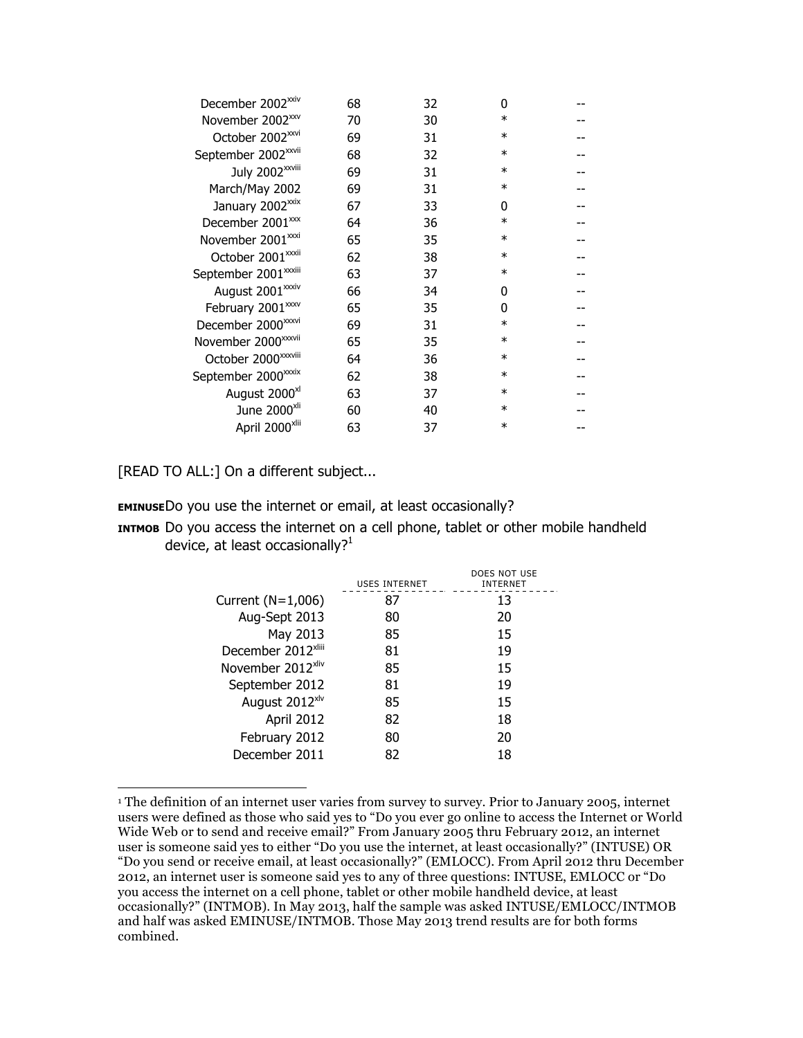| December 2002 <sup>xxiv</sup>    | 68 | 32 | 0      |  |
|----------------------------------|----|----|--------|--|
| November 2002 <sup>xxv</sup>     | 70 | 30 | $\ast$ |  |
| October 2002 <sup>xxvi</sup>     | 69 | 31 | $\ast$ |  |
| September 2002 <sup>xxvii</sup>  | 68 | 32 | $\ast$ |  |
| July 2002 <sup>xxviii</sup>      | 69 | 31 | $\ast$ |  |
| March/May 2002                   | 69 | 31 | $\ast$ |  |
| January 2002 <sup>xxix</sup>     | 67 | 33 | 0      |  |
| December 2001 <sup>xx</sup>      | 64 | 36 | $\ast$ |  |
| November 2001 <sup>xxxi</sup>    | 65 | 35 | $\ast$ |  |
| October 2001 <sup>xxxii</sup>    | 62 | 38 | $\ast$ |  |
| September 2001 <sup>xxxiii</sup> | 63 | 37 | $\ast$ |  |
| August 2001 <sup>xxxiv</sup>     | 66 | 34 | 0      |  |
| February 2001 <sup>xxxv</sup>    | 65 | 35 | O      |  |
| December 2000 <sup>xxxvi</sup>   | 69 | 31 | $\ast$ |  |
| November 2000 <sup>xxxvii</sup>  | 65 | 35 | $\ast$ |  |
| October 2000 <sup>xxxviii</sup>  | 64 | 36 | $\ast$ |  |
| September 2000 <sup>xxxix</sup>  | 62 | 38 | $\ast$ |  |
| August 2000 <sup>xl</sup>        | 63 | 37 | $\ast$ |  |
| June 2000 <sup>xli</sup>         | 60 | 40 | $\ast$ |  |
| April 2000 <sup>xlii</sup>       | 63 | 37 | $\ast$ |  |
|                                  |    |    |        |  |

[READ TO ALL:] On a different subject...

**EMINUSE**Do you use the internet or email, at least occasionally?

**INTMOB** Do you access the internet on a cell phone, tablet or other mobile handheld device, at least occasionally? $1$ 

|                                | USES INTERNET | DOES NOT USE<br><b>INTERNET</b> |
|--------------------------------|---------------|---------------------------------|
| Current (N=1,006)              | 87            | 13                              |
| Aug-Sept 2013                  | 80            | 20                              |
| May 2013                       | 85            | 15                              |
| December 2012 <sup>xliii</sup> | 81            | 19                              |
| November 2012 <sup>xliv</sup>  | 85            | 15                              |
| September 2012                 | 81            | 19                              |
| August 2012 <sup>xlv</sup>     | 85            | 15                              |
| April 2012                     | 82            | 18                              |
| February 2012                  | 80            | 20                              |
| December 2011                  | 82            | 18                              |

 <sup>1</sup> The definition of an internet user varies from survey to survey. Prior to January 2005, internet users were defined as those who said yes to "Do you ever go online to access the Internet or World Wide Web or to send and receive email?" From January 2005 thru February 2012, an internet user is someone said yes to either "Do you use the internet, at least occasionally?" (INTUSE) OR "Do you send or receive email, at least occasionally?" (EMLOCC). From April 2012 thru December 2012, an internet user is someone said yes to any of three questions: INTUSE, EMLOCC or "Do you access the internet on a cell phone, tablet or other mobile handheld device, at least occasionally?" (INTMOB). In May 2013, half the sample was asked INTUSE/EMLOCC/INTMOB and half was asked EMINUSE/INTMOB. Those May 2013 trend results are for both forms combined.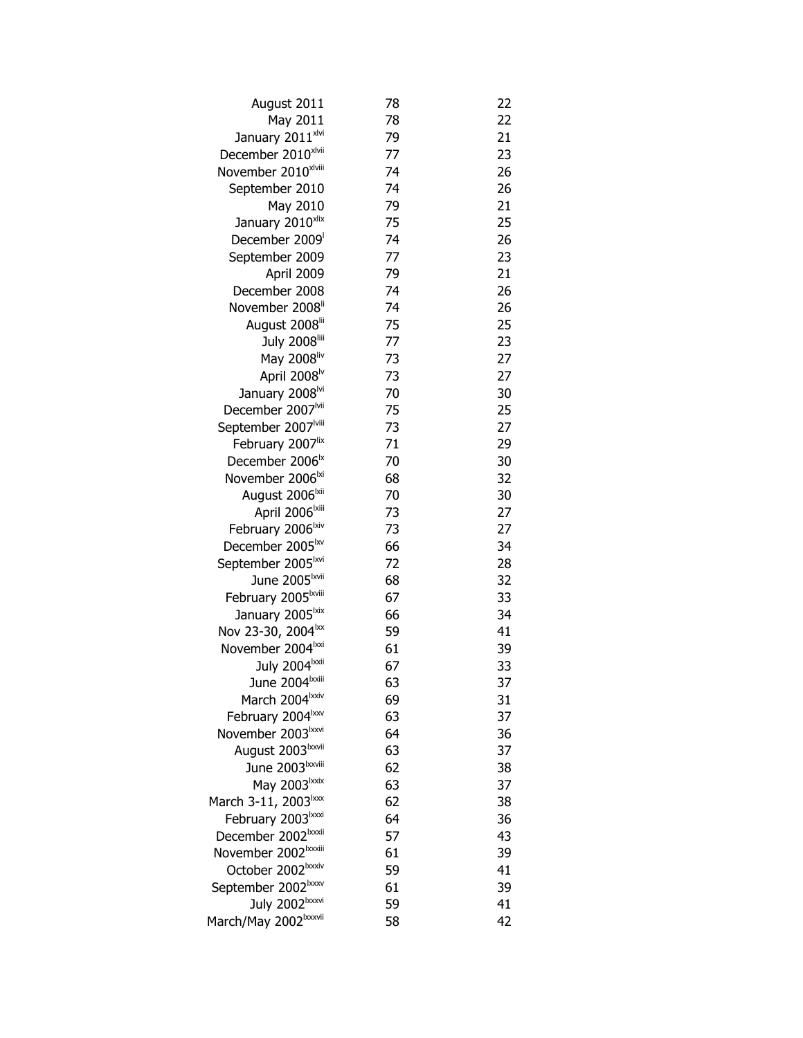| August 2011                                                     | 78       | 22       |
|-----------------------------------------------------------------|----------|----------|
| May 2011                                                        | 78       | 22       |
| January 2011xlvi                                                | 79       | 21       |
| December 2010xlvii                                              | 77       | 23       |
| November 2010xlviii                                             | 74       | 26       |
| September 2010                                                  | 74       | 26       |
| May 2010                                                        | 79       | 21       |
| January 2010xlix                                                | 75       | 25       |
| December 2009                                                   | 74       | 26       |
| September 2009                                                  | 77       | 23       |
| April 2009                                                      | 79       | 21       |
| December 2008                                                   | 74       | 26       |
| November 2008 <sup>li</sup>                                     | 74       | 26       |
| August 2008 <sup>lii</sup>                                      | 75       | 25       |
| July 2008                                                       | 77       | 23       |
| May 2008liv                                                     | 73       | 27       |
| April 2008 <sup>lv</sup>                                        | 73       | 27       |
| January 2008 <sup>lvi</sup>                                     | 70       | 30       |
| December 2007 <sup>Ivii</sup>                                   | 75       | 25       |
| September 2007 <sup>Iviii</sup>                                 | 73       | 27       |
| February 2007lix                                                | 71       | 29       |
| December 2006 <sup>1x</sup>                                     | 70       | 30       |
| November 2006 <sup>lxi</sup>                                    | 68       | 32       |
| August 2006 <sup>lxii</sup>                                     | 70       | 30       |
| April 2006 <sup>lxiii</sup>                                     | 73       | 27       |
| February 2006 <sup>lxiv</sup>                                   | 73       | 27       |
| December 2005 <sup>lxv</sup>                                    | 66       | 34       |
| September 2005 <sup>Ixvi</sup>                                  | 72       | 28       |
| June 2005 <sup>Ixvii</sup>                                      | 68       | 32       |
| February 2005 <sup>Ixviii</sup>                                 | 67       | 33       |
| January 2005 <sup>lxix</sup>                                    | 66       | 34       |
| Nov 23-30, 2004 <sup>1xx</sup>                                  | 59       | 41       |
| November 2004 <sup>lxxi</sup>                                   | 61       | 39       |
| July 2004 xxii                                                  | 67       | 33       |
| June 2004 <sup>lxxiii</sup>                                     | 63       | 37       |
| March 2004 xxiv                                                 | 69       | 31       |
| February 2004 xxv                                               | 63       | 37<br>36 |
| November 2003 <sup>Ixxvi</sup><br>August 2003 <sup>Ixxvii</sup> | 64<br>63 | 37       |
| June 2003 bxwiii                                                | 62       | 38       |
| May 2003lxxix                                                   | 63       | 37       |
| March 3-11, 2003 <sup>1xxx</sup>                                | 62       | 38       |
| February 2003 xxxi                                              | 64       | 36       |
| December 2002 <sup>Ixxxii</sup>                                 | 57       | 43       |
| November 2002 <sup>Ixxxiii</sup>                                | 61       | 39       |
| October 2002 <sup>Ixxxiv</sup>                                  | 59       | 41       |
| September 2002 <sup>1xxxv</sup>                                 | 61       | 39       |
| July 2002 xxvi                                                  | 59       | 41       |
| March/May 2002 <sup>Ixxxvii</sup>                               | 58       | 42       |
|                                                                 |          |          |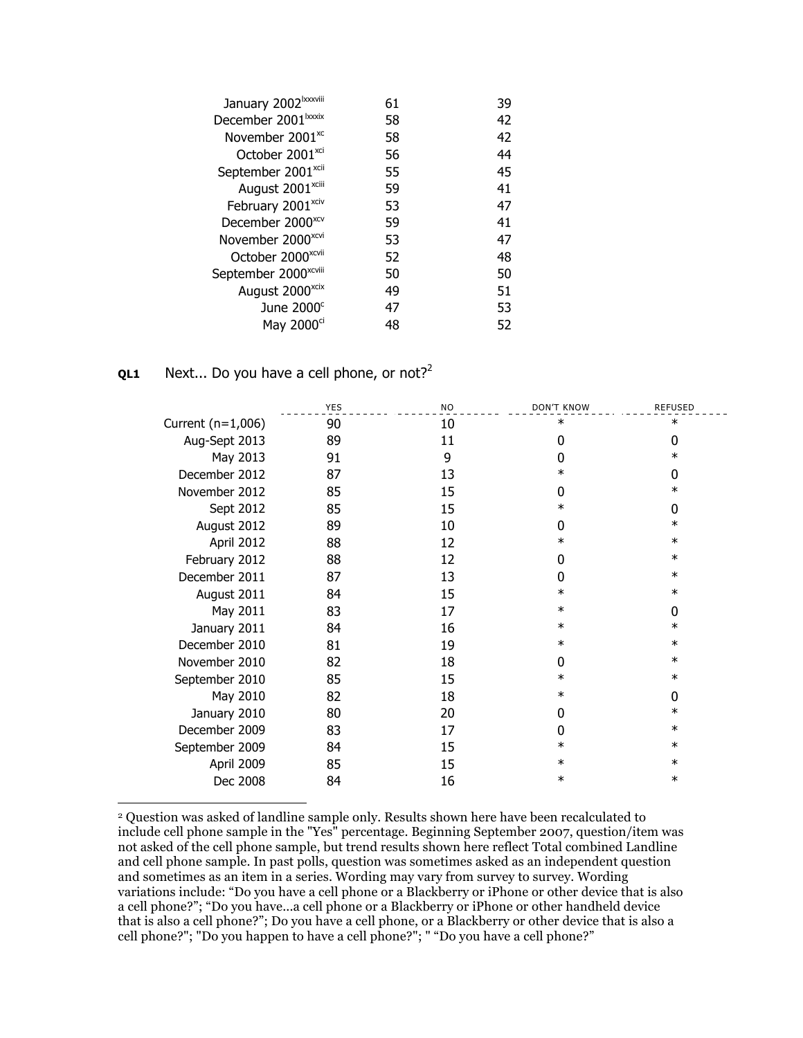| January 2002 <sup>Ixxxviii</sup> | 61 | 39 |
|----------------------------------|----|----|
| December 2001 <sup>lxxxix</sup>  | 58 | 42 |
| November 2001 <sup>xc</sup>      | 58 | 42 |
| October 2001 <sup>xci</sup>      | 56 | 44 |
| September 2001 <sup>xcii</sup>   | 55 | 45 |
| August 2001 <sup>xciii</sup>     | 59 | 41 |
| February 2001 <sup>xciv</sup>    | 53 | 47 |
| December 2000 <sup>xcv</sup>     | 59 | 41 |
| November 2000 <sup>xcvi</sup>    | 53 | 47 |
| October 2000 <sup>xcvii</sup>    | 52 | 48 |
| September 2000 <sup>xcviii</sup> | 50 | 50 |
| August 2000 <sup>xcix</sup>      | 49 | 51 |
| June $2000^{\circ}$              | 47 | 53 |
| May 2000 <sup>ci</sup>           | 48 | 52 |

## **QL1** Next... Do you have a cell phone, or not?<sup>2</sup>

|                     | <b>YES</b> | <b>NO</b> | <b>DON'T KNOW</b> | <b>REFUSED</b> |
|---------------------|------------|-----------|-------------------|----------------|
| Current $(n=1,006)$ | 90         | 10        | ∗                 | $\ast$         |
| Aug-Sept 2013       | 89         | 11        | 0                 | 0              |
| May 2013            | 91         | 9         | 0                 | $\ast$         |
| December 2012       | 87         | 13        | $\ast$            | $\Omega$       |
| November 2012       | 85         | 15        | <sup>0</sup>      | $\ast$         |
| Sept 2012           | 85         | 15        | $\ast$            | 0              |
| August 2012         | 89         | 10        | 0                 | $\ast$         |
| April 2012          | 88         | 12        | $\ast$            | $\ast$         |
| February 2012       | 88         | 12        | $\Omega$          | $\ast$         |
| December 2011       | 87         | 13        | 0                 | $\ast$         |
| August 2011         | 84         | 15        | $\ast$            | $\ast$         |
| May 2011            | 83         | 17        | $\ast$            | 0              |
| January 2011        | 84         | 16        | $\ast$            | $\ast$         |
| December 2010       | 81         | 19        | $\ast$            | $\ast$         |
| November 2010       | 82         | 18        | $\Omega$          | $\ast$         |
| September 2010      | 85         | 15        | $\ast$            | $\ast$         |
| May 2010            | 82         | 18        | $\ast$            | $\Omega$       |
| January 2010        | 80         | 20        | 0                 | $\ast$         |
| December 2009       | 83         | 17        | 0                 | $\ast$         |
| September 2009      | 84         | 15        | $\ast$            | $\ast$         |
| April 2009          | 85         | 15        | $\ast$            | $\ast$         |
| Dec 2008            | 84         | 16        | $\ast$            | $\ast$         |

 2 Question was asked of landline sample only. Results shown here have been recalculated to include cell phone sample in the "Yes" percentage. Beginning September 2007, question/item was not asked of the cell phone sample, but trend results shown here reflect Total combined Landline and cell phone sample. In past polls, question was sometimes asked as an independent question and sometimes as an item in a series. Wording may vary from survey to survey. Wording variations include: "Do you have a cell phone or a Blackberry or iPhone or other device that is also a cell phone?"; "Do you have...a cell phone or a Blackberry or iPhone or other handheld device that is also a cell phone?"; Do you have a cell phone, or a Blackberry or other device that is also a cell phone?"; "Do you happen to have a cell phone?"; " "Do you have a cell phone?"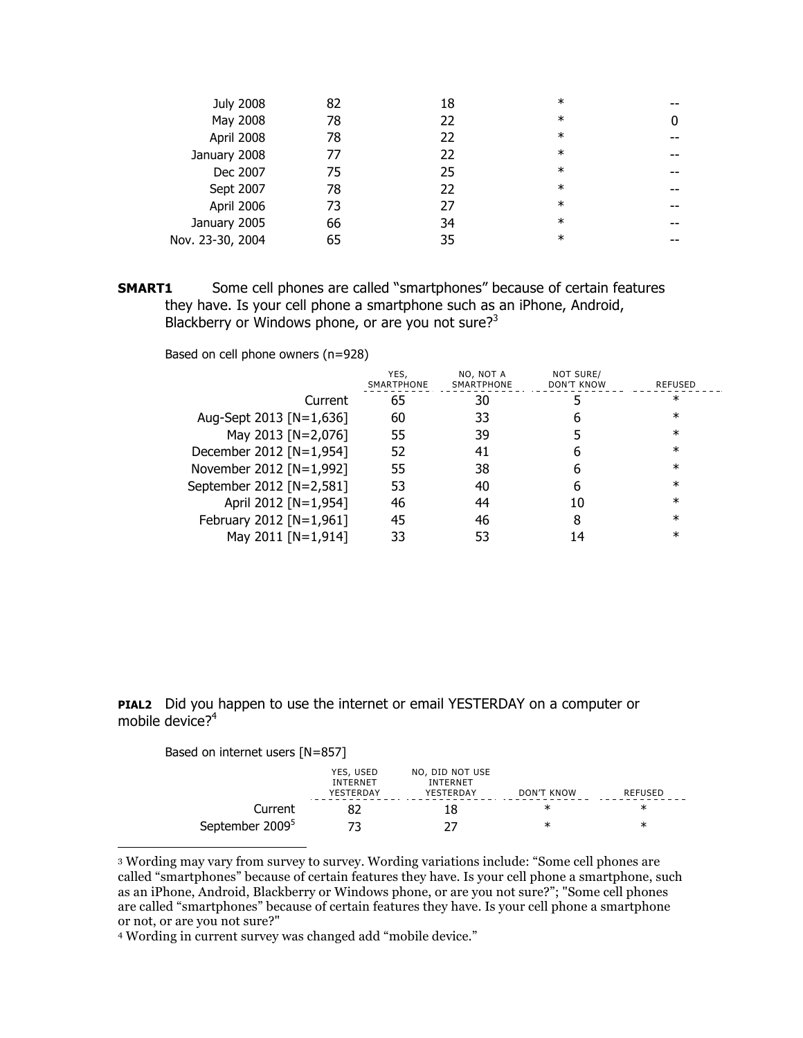| <b>July 2008</b> | 82 | 18 | $\ast$ |  |
|------------------|----|----|--------|--|
| May 2008         | 78 | 22 | $\ast$ |  |
| April 2008       | 78 | 22 | $\ast$ |  |
| January 2008     | 77 | 22 | $\ast$ |  |
| Dec 2007         | 75 | 25 | $\ast$ |  |
| Sept 2007        | 78 | 22 | $\ast$ |  |
| April 2006       | 73 | 27 | $\ast$ |  |
| January 2005     | 66 | 34 | $\ast$ |  |
| Nov. 23-30, 2004 | 65 | 35 | $\ast$ |  |
|                  |    |    |        |  |

**SMART1** Some cell phones are called "smartphones" because of certain features they have. Is your cell phone a smartphone such as an iPhone, Android, Blackberry or Windows phone, or are you not sure? $3^3$ 

Based on cell phone owners (n=928)

|                          | YES.<br>SMARTPHONE | NO, NOT A<br>SMARTPHONE | NOT SURE/<br>DON'T KNOW | REFUSED |
|--------------------------|--------------------|-------------------------|-------------------------|---------|
| Current                  | 65                 | 30                      |                         | ∗       |
| Aug-Sept 2013 [N=1,636]  | 60                 | 33                      |                         | $^\ast$ |
| May 2013 [N=2,076]       | 55                 | 39                      |                         | $^\ast$ |
| December 2012 [N=1,954]  | 52                 | 41                      |                         | $^\ast$ |
| November 2012 [N=1,992]  | 55                 | 38                      |                         | $^\ast$ |
| September 2012 [N=2,581] | 53                 | 40                      |                         | $^\ast$ |
| April 2012 [N=1,954]     | 46                 | 44                      | 10                      | $^\ast$ |
| February 2012 [N=1,961]  | 45                 | 46                      | 8                       | $^\ast$ |
| May 2011 [N=1,914]       |                    |                         |                         | $^\ast$ |

**PIAL2** Did you happen to use the internet or email YESTERDAY on a computer or mobile device? $4^4$ 

| Based on internet users $[N=857]$ |                                           |                                                 |            |         |
|-----------------------------------|-------------------------------------------|-------------------------------------------------|------------|---------|
|                                   | YES, USED<br><b>INTFRNFT</b><br>YESTERDAY | NO, DID NOT USE<br><b>INTFRNFT</b><br>YESTERDAY | DON'T KNOW | RFFUSFD |
| Current                           |                                           |                                                 | ж          | ж       |
| September 2009 <sup>5</sup>       |                                           |                                                 | ж          | ж       |

 <sup>3</sup> Wording may vary from survey to survey. Wording variations include: "Some cell phones are called "smartphones" because of certain features they have. Is your cell phone a smartphone, such as an iPhone, Android, Blackberry or Windows phone, or are you not sure?"; "Some cell phones are called "smartphones" because of certain features they have. Is your cell phone a smartphone or not, or are you not sure?"

<sup>4</sup> Wording in current survey was changed add "mobile device."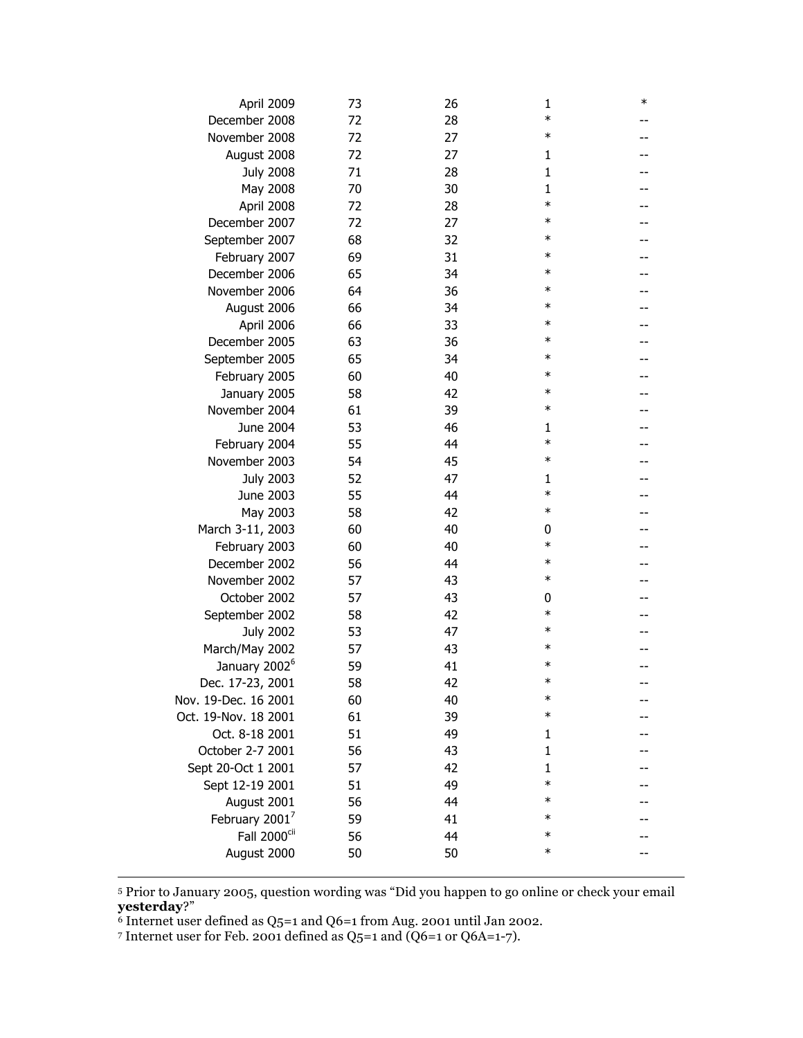|                            | April 2009               | 73 | 26 | 1            | $\ast$ |
|----------------------------|--------------------------|----|----|--------------|--------|
| December 2008              |                          | 72 | 28 | $\ast$       |        |
| November 2008              |                          | 72 | 27 | $\ast$       |        |
| August 2008                |                          | 72 | 27 | $\mathbf{1}$ |        |
|                            | <b>July 2008</b>         | 71 | 28 | $\mathbf{1}$ |        |
|                            | May 2008                 | 70 | 30 | $\mathbf{1}$ |        |
|                            | April 2008               | 72 | 28 | $\ast$       |        |
| December 2007              |                          | 72 | 27 | $\ast$       |        |
| September 2007             |                          | 68 | 32 | $\ast$       |        |
| February 2007              |                          | 69 | 31 | $\ast$       |        |
| December 2006              |                          | 65 | 34 | $\ast$       |        |
| November 2006              |                          | 64 | 36 | $\ast$       |        |
| August 2006                |                          | 66 | 34 | $\ast$       |        |
|                            | April 2006               | 66 | 33 | $\ast$       |        |
| December 2005              |                          | 63 | 36 | $\ast$       |        |
| September 2005             |                          | 65 | 34 | $\ast$       |        |
| February 2005              |                          | 60 | 40 | $\ast$       |        |
| January 2005               |                          | 58 | 42 | $\ast$       |        |
| November 2004              |                          | 61 | 39 | $\ast$       |        |
|                            | June 2004                | 53 | 46 | 1            |        |
| February 2004              |                          | 55 | 44 | $\ast$       |        |
| November 2003              |                          | 54 | 45 | $\ast$       |        |
|                            | <b>July 2003</b>         | 52 | 47 | 1            |        |
|                            | June 2003                | 55 | 44 | $\ast$       |        |
|                            | May 2003                 | 58 | 42 | $\ast$       |        |
| March 3-11, 2003           |                          | 60 | 40 | 0            |        |
| February 2003              |                          | 60 | 40 | $\ast$       |        |
| December 2002              |                          | 56 | 44 | $\ast$       |        |
| November 2002              |                          | 57 | 43 | $\ast$       |        |
| October 2002               |                          | 57 | 43 | 0            |        |
| September 2002             |                          | 58 | 42 | $\ast$       |        |
|                            | <b>July 2002</b>         | 53 | 47 | $\ast$       |        |
| March/May 2002             |                          | 57 | 43 | $\ast$       |        |
| January 2002 <sup>6</sup>  |                          | 59 | 41 | $\ast$       |        |
| Dec. 17-23, 2001           |                          | 58 | 42 | ж            |        |
| Nov. 19-Dec. 16 2001       |                          | 60 | 40 | $\ast$       |        |
| Oct. 19-Nov. 18 2001       |                          | 61 | 39 | $\ast$       |        |
| Oct. 8-18 2001             |                          | 51 | 49 | 1            |        |
| October 2-7 2001           |                          | 56 | 43 | $\mathbf{1}$ |        |
| Sept 20-Oct 1 2001         |                          | 57 | 42 | $\mathbf{1}$ |        |
| Sept 12-19 2001            |                          | 51 | 49 | $\ast$       |        |
| August 2001                |                          | 56 | 44 | $\ast$       |        |
| February 2001 <sup>7</sup> |                          | 59 | 41 | $\ast$       |        |
|                            | Fall 2000 <sup>cii</sup> | 56 | 44 | $\ast$       |        |
| August 2000                |                          | 50 | 50 | $\ast$       |        |
|                            |                          |    |    |              |        |

 5 Prior to January 2005, question wording was "Did you happen to go online or check your email **yesterday**?"

 $6$  Internet user defined as Q5=1 and Q6=1 from Aug. 2001 until Jan 2002.

7 Internet user for Feb. 2001 defined as Q5=1 and (Q6=1 or Q6A=1-7).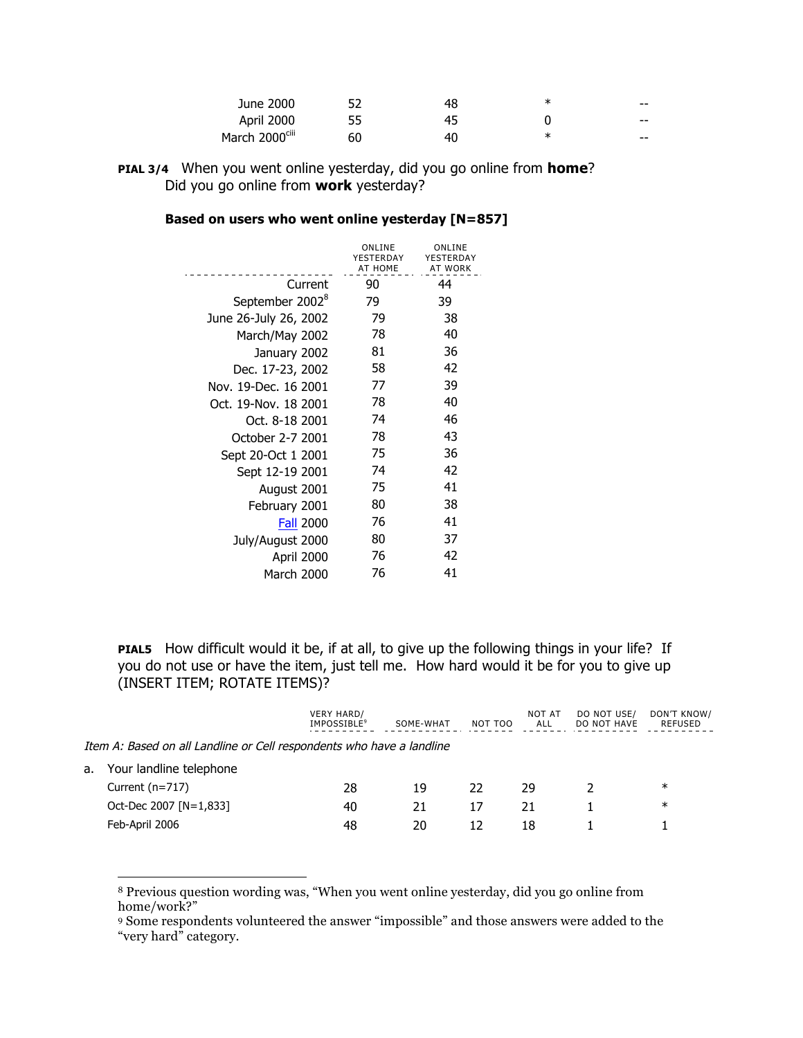| June 2000                  |    | 48 | ж | $- -$ |
|----------------------------|----|----|---|-------|
| April 2000                 | 55 | 45 |   | $- -$ |
| March 2000 <sup>ciii</sup> | 60 | 40 | ж | $- -$ |

**PIAL 3/4** When you went online yesterday, did you go online from **home**? Did you go online from **work** yesterday?

| Based on users who went online yesterday [N=857] |  |
|--------------------------------------------------|--|
|--------------------------------------------------|--|

|                             | ONLINE<br>YESTERDAY<br><b>AT HOME</b> | ONLINE<br>YESTERDAY<br><b>AT WORK</b> |
|-----------------------------|---------------------------------------|---------------------------------------|
| Current                     | 90                                    | 44                                    |
| September 2002 <sup>8</sup> | 79                                    | 39                                    |
| June 26-July 26, 2002       | 79                                    | 38                                    |
| March/May 2002              | 78                                    | 40                                    |
| January 2002                | 81                                    | 36                                    |
| Dec. 17-23, 2002            | 58                                    | 42                                    |
| Nov. 19-Dec. 16 2001        | 77                                    | 39                                    |
| Oct. 19-Nov. 18 2001        | 78                                    | 40                                    |
| Oct. 8-18 2001              | 74                                    | 46                                    |
| October 2-7 2001            | 78                                    | 43                                    |
| Sept 20-Oct 1 2001          | 75                                    | 36                                    |
| Sept 12-19 2001             | 74                                    | 42                                    |
| August 2001                 | 75                                    | 41                                    |
| February 2001               | 80                                    | 38                                    |
| <b>Fall 2000</b>            | 76                                    | 41                                    |
| July/August 2000            | 80                                    | 37                                    |
| April 2000                  | 76                                    | 42                                    |
| March 2000                  | 76                                    | 41                                    |

**PIAL5** How difficult would it be, if at all, to give up the following things in your life? If you do not use or have the item, just tell me. How hard would it be for you to give up (INSERT ITEM; ROTATE ITEMS)?

|    |                                                                       | <b>VERY HARD/</b><br><b>IMPOSSIBLE</b> <sup>9</sup> | SOME-WHAT | NOT TOO | NOT AT<br>ALL | DO NOT USE/<br>DO NOT HAVE | DON'T KNOW/<br>REFUSED |
|----|-----------------------------------------------------------------------|-----------------------------------------------------|-----------|---------|---------------|----------------------------|------------------------|
|    | Item A: Based on all Landline or Cell respondents who have a landline |                                                     |           |         |               |                            |                        |
| а. | Your landline telephone                                               |                                                     |           |         |               |                            |                        |
|    | Current $(n=717)$                                                     | 28                                                  | 19        | 22.     | 29            |                            | $\ast$                 |
|    | Oct-Dec 2007 [N=1,833]                                                | 40                                                  | 21        | 17      | 21            |                            | $\ast$                 |
|    | Feb-April 2006                                                        | 48                                                  | 20        |         | 18            |                            |                        |

 <sup>8</sup> Previous question wording was, "When you went online yesterday, did you go online from home/work?"

<sup>9</sup> Some respondents volunteered the answer "impossible" and those answers were added to the "very hard" category.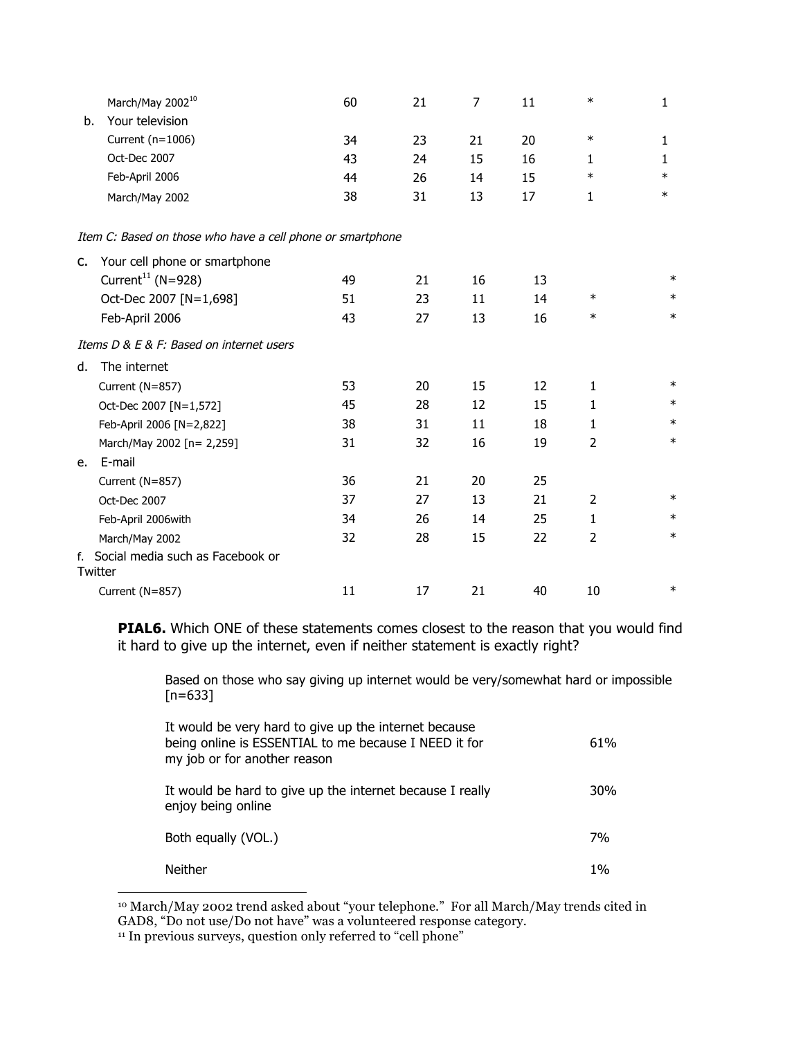|    | March/May 2002 <sup>10</sup>                               | 60 | 21 | $\overline{7}$ | 11 | $\ast$         | 1      |
|----|------------------------------------------------------------|----|----|----------------|----|----------------|--------|
| b. | Your television                                            |    |    |                |    |                |        |
|    | Current (n=1006)                                           | 34 | 23 | 21             | 20 | $\ast$         | 1      |
|    | Oct-Dec 2007                                               | 43 | 24 | 15             | 16 | 1              | 1      |
|    | Feb-April 2006                                             | 44 | 26 | 14             | 15 | $\ast$         | $\ast$ |
|    | March/May 2002                                             | 38 | 31 | 13             | 17 | 1              | $\ast$ |
|    | Item C: Based on those who have a cell phone or smartphone |    |    |                |    |                |        |
| c. | Your cell phone or smartphone                              |    |    |                |    |                |        |
|    | Current <sup>11</sup> (N=928)                              | 49 | 21 | 16             | 13 |                | $\ast$ |
|    | Oct-Dec 2007 [N=1,698]                                     | 51 | 23 | 11             | 14 | $\ast$         | $\ast$ |
|    | Feb-April 2006                                             | 43 | 27 | 13             | 16 | $\ast$         | $\ast$ |
|    | Items D & E & F: Based on internet users                   |    |    |                |    |                |        |
| d. | The internet                                               |    |    |                |    |                |        |
|    | Current (N=857)                                            | 53 | 20 | 15             | 12 | 1              | $\ast$ |
|    | Oct-Dec 2007 [N=1,572]                                     | 45 | 28 | 12             | 15 | $\mathbf{1}$   | $\ast$ |
|    | Feb-April 2006 [N=2,822]                                   | 38 | 31 | 11             | 18 | $\mathbf{1}$   | $\ast$ |
|    | March/May 2002 [n= 2,259]                                  | 31 | 32 | 16             | 19 | 2              | $\ast$ |
| e. | E-mail                                                     |    |    |                |    |                |        |
|    | Current (N=857)                                            | 36 | 21 | 20             | 25 |                |        |
|    | Oct-Dec 2007                                               | 37 | 27 | 13             | 21 | $\overline{2}$ | $\ast$ |
|    | Feb-April 2006with                                         | 34 | 26 | 14             | 25 | $\mathbf{1}$   | $\ast$ |
|    | March/May 2002                                             | 32 | 28 | 15             | 22 | $\overline{2}$ | $\ast$ |
|    | f. Social media such as Facebook or<br>Twitter             |    |    |                |    |                |        |
|    | Current (N=857)                                            | 11 | 17 | 21             | 40 | 10             | $\ast$ |

**PIAL6.** Which ONE of these statements comes closest to the reason that you would find it hard to give up the internet, even if neither statement is exactly right?

Based on those who say giving up internet would be very/somewhat hard or impossible  $[n=633]$ 

| It would be very hard to give up the internet because<br>being online is ESSENTIAL to me because I NEED it for<br>my job or for another reason | 61% |
|------------------------------------------------------------------------------------------------------------------------------------------------|-----|
| It would be hard to give up the internet because I really<br>enjoy being online                                                                | 30% |
| Both equally (VOL.)                                                                                                                            | 7%  |
| <b>Neither</b>                                                                                                                                 | 1%  |

 <sup>10</sup> March/May 2002 trend asked about "your telephone." For all March/May trends cited in GAD8, "Do not use/Do not have" was a volunteered response category.

<sup>&</sup>lt;sup>11</sup> In previous surveys, question only referred to "cell phone"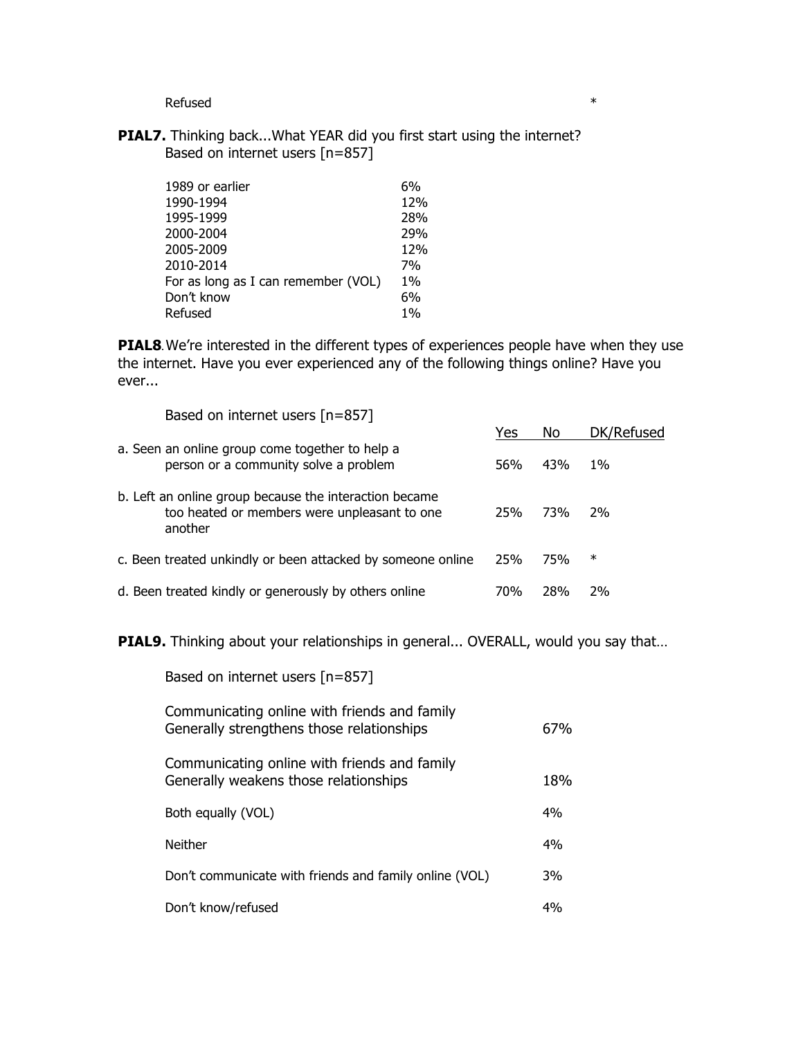$Refused$   $*$ 

**PIAL7.** Thinking back...What YEAR did you first start using the internet? Based on internet users [n=857]

| 1989 or earlier                     | 6%    |
|-------------------------------------|-------|
| 1990-1994                           | 12%   |
| 1995-1999                           | 28%   |
| 2000-2004                           | 29%   |
| 2005-2009                           | 12%   |
| 2010-2014                           | 7%    |
| For as long as I can remember (VOL) | $1\%$ |
| Don't know                          | 6%    |
| Refused                             | $1\%$ |

**PIAL8**. We're interested in the different types of experiences people have when they use the internet. Have you ever experienced any of the following things online? Have you ever...

| Based on internet users $[n=857]$                                                                                 |     |            |            |
|-------------------------------------------------------------------------------------------------------------------|-----|------------|------------|
|                                                                                                                   | Yes | No         | DK/Refused |
| a. Seen an online group come together to help a<br>person or a community solve a problem                          | 56% | 43%        | 1%         |
| b. Left an online group because the interaction became<br>too heated or members were unpleasant to one<br>another | 25% | <b>73%</b> | 2%         |
| c. Been treated unkindly or been attacked by someone online                                                       | 25% | 75%        | $\ast$     |
| d. Been treated kindly or generously by others online                                                             | 70% | 28%        | 2%         |

**PIAL9.** Thinking about your relationships in general... OVERALL, would you say that…

| Based on internet users $[n=857]$                                                         |     |
|-------------------------------------------------------------------------------------------|-----|
| Communicating online with friends and family<br>Generally strengthens those relationships | 67% |
| Communicating online with friends and family<br>Generally weakens those relationships     | 18% |
| Both equally (VOL)                                                                        | 4%  |
| Neither                                                                                   | 4%  |
| Don't communicate with friends and family online (VOL)                                    | 3%  |
| Don't know/refused                                                                        | 4%  |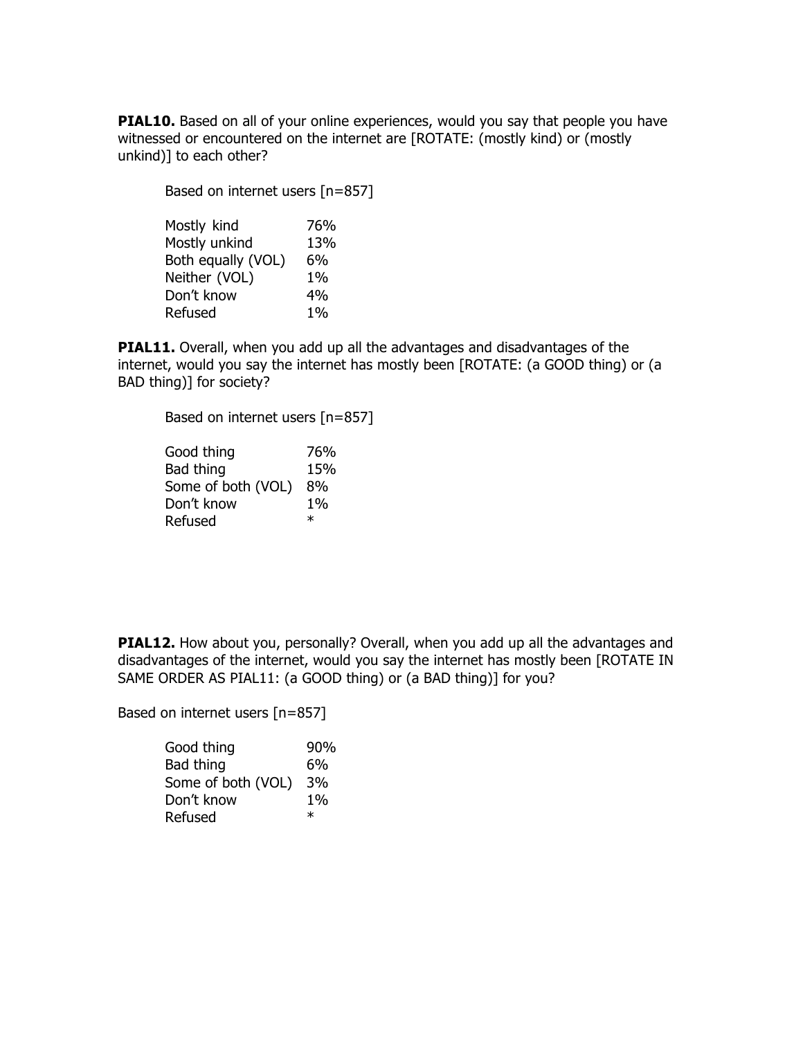**PIAL10.** Based on all of your online experiences, would you say that people you have witnessed or encountered on the internet are [ROTATE: (mostly kind) or (mostly unkind)] to each other?

Based on internet users [n=857]

| Mostly kind        | 76%   |
|--------------------|-------|
| Mostly unkind      | 13%   |
| Both equally (VOL) | 6%    |
| Neither (VOL)      | $1\%$ |
| Don't know         | 4%    |
| Refused            | $1\%$ |

**PIAL11.** Overall, when you add up all the advantages and disadvantages of the internet, would you say the internet has mostly been [ROTATE: (a GOOD thing) or (a BAD thing)] for society?

Based on internet users [n=857]

| Good thing         | 76%    |
|--------------------|--------|
| Bad thing          | 15%    |
| Some of both (VOL) | 8%     |
| Don't know         | $1\%$  |
| Refused            | $\ast$ |

**PIAL12.** How about you, personally? Overall, when you add up all the advantages and disadvantages of the internet, would you say the internet has mostly been [ROTATE IN SAME ORDER AS PIAL11: (a GOOD thing) or (a BAD thing)] for you?

Based on internet users [n=857]

| Good thing         | 90%   |
|--------------------|-------|
| Bad thing          | 6%    |
| Some of both (VOL) | 3%    |
| Don't know         | $1\%$ |
| Refused            | ж     |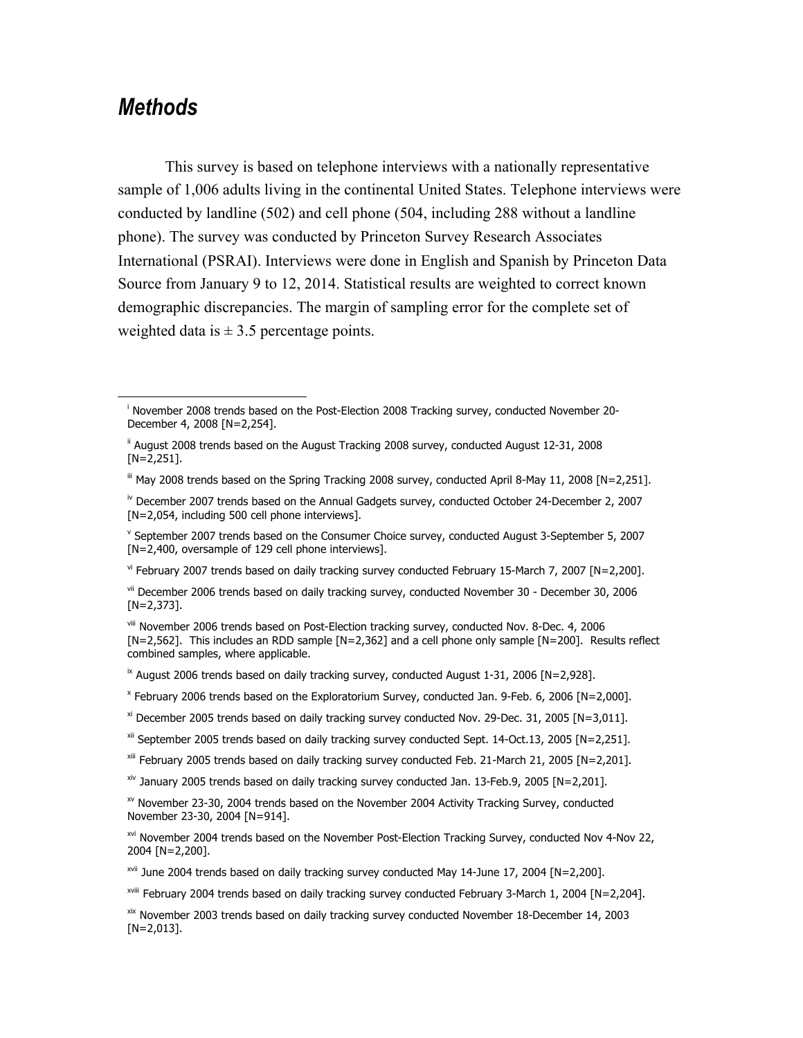## *Methods*

 $\overline{\phantom{a}}$ 

This survey is based on telephone interviews with a nationally representative sample of 1,006 adults living in the continental United States. Telephone interviews were conducted by landline (502) and cell phone (504, including 288 without a landline phone). The survey was conducted by Princeton Survey Research Associates International (PSRAI). Interviews were done in English and Spanish by Princeton Data Source from January 9 to 12, 2014. Statistical results are weighted to correct known demographic discrepancies. The margin of sampling error for the complete set of weighted data is  $\pm$  3.5 percentage points.

 $V$ <sup>i</sup> February 2007 trends based on daily tracking survey conducted February 15-March 7, 2007 [N=2,200].

 $\overline{X}$  August 2006 trends based on daily tracking survey, conducted August 1-31, 2006 [N=2,928].

 $x^{x}$  January 2005 trends based on daily tracking survey conducted Jan. 13-Feb.9, 2005 [N=2,201].

xviii February 2004 trends based on daily tracking survey conducted February 3-March 1, 2004 [N=2,204].

xix November 2003 trends based on daily tracking survey conducted November 18-December 14, 2003 [N=2,013].

i November 2008 trends based on the Post-Election 2008 Tracking survey, conducted November 20- December 4, 2008 [N=2,254].

ii August 2008 trends based on the August Tracking 2008 survey, conducted August 12-31, 2008 [N=2,251].

 $\text{I}^{\text{III}}$  May 2008 trends based on the Spring Tracking 2008 survey, conducted April 8-May 11, 2008 [N=2,251].

iv December 2007 trends based on the Annual Gadgets survey, conducted October 24-December 2, 2007 [N=2,054, including 500 cell phone interviews].

<sup>v</sup> September 2007 trends based on the Consumer Choice survey, conducted August 3-September 5, 2007 [N=2,400, oversample of 129 cell phone interviews].

vii December 2006 trends based on daily tracking survey, conducted November 30 - December 30, 2006 [N=2,373].

viii November 2006 trends based on Post-Election tracking survey, conducted Nov. 8-Dec. 4, 2006 [N=2,562]. This includes an RDD sample [N=2,362] and a cell phone only sample [N=200]. Results reflect combined samples, where applicable.

<sup>x</sup> February 2006 trends based on the Exploratorium Survey, conducted Jan. 9-Feb. 6, 2006 [N=2,000].

 $x$ <sup>xi</sup> December 2005 trends based on daily tracking survey conducted Nov. 29-Dec. 31, 2005 [N=3,011].

xii September 2005 trends based on daily tracking survey conducted Sept. 14-Oct.13, 2005 [N=2,251].

xiii February 2005 trends based on daily tracking survey conducted Feb. 21-March 21, 2005 [N=2,201].

 $\frac{x}{x}$  November 23-30, 2004 trends based on the November 2004 Activity Tracking Survey, conducted November 23-30, 2004 [N=914].

xvi November 2004 trends based on the November Post-Election Tracking Survey, conducted Nov 4-Nov 22, 2004 [N=2,200].

<sup>&</sup>lt;sup>xvii</sup> June 2004 trends based on daily tracking survey conducted May 14-June 17, 2004 [N=2,200].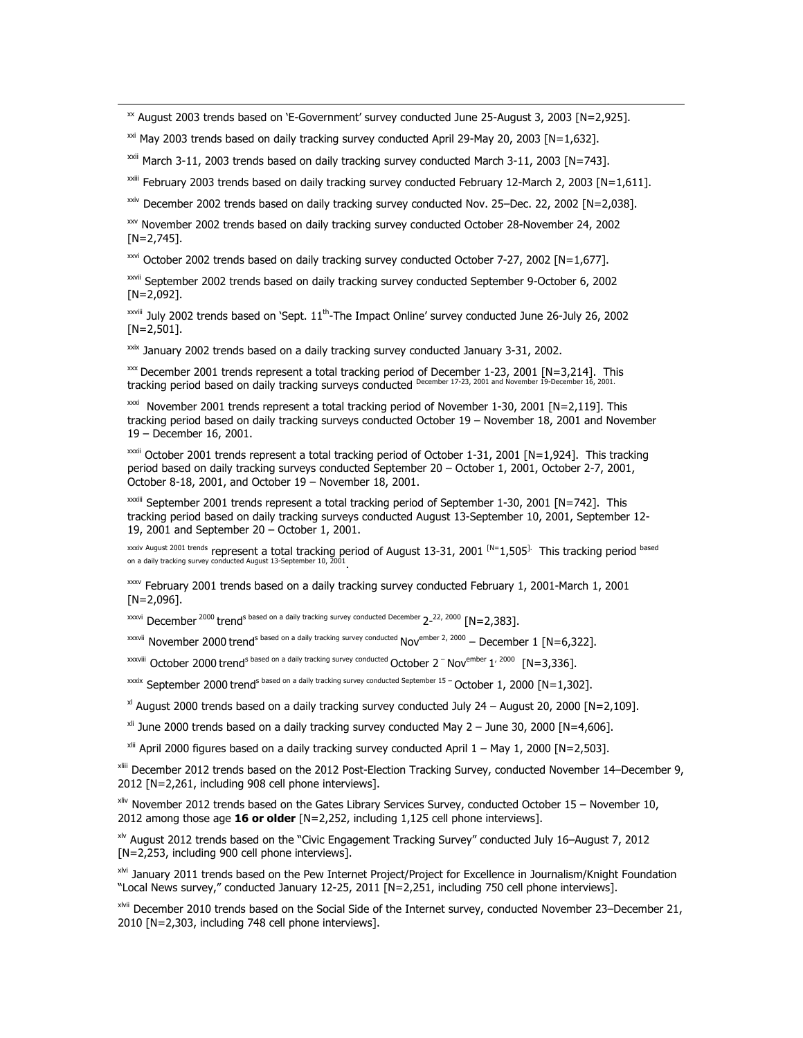$\text{X}$  August 2003 trends based on 'E-Government' survey conducted June 25-August 3, 2003 [N=2,925].

 $\frac{xxi}{x}$  May 2003 trends based on daily tracking survey conducted April 29-May 20, 2003 [N=1,632].

 $\overline{\phantom{a}}$ 

 $\frac{x}{x}$ <sup>xxii</sup> March 3-11, 2003 trends based on daily tracking survey conducted March 3-11, 2003 [N=743].

xxiii February 2003 trends based on daily tracking survey conducted February 12-March 2, 2003 [N=1,611].

 $\frac{xxiv}{x}$  December 2002 trends based on daily tracking survey conducted Nov. 25–Dec. 22, 2002 [N=2,038].

xxv November 2002 trends based on daily tracking survey conducted October 28-November 24, 2002  $[N=2,745]$ .

xxvi October 2002 trends based on daily tracking survey conducted October 7-27, 2002 [N=1,677].

xxvii September 2002 trends based on daily tracking survey conducted September 9-October 6, 2002 [N=2,092].

 $x_{x}$ <sup>xxviii</sup> July 2002 trends based on 'Sept.  $11^{th}$ -The Impact Online' survey conducted June 26-July 26, 2002 [N=2,501].

xxix January 2002 trends based on a daily tracking survey conducted January 3-31, 2002.

 $\frac{1}{2}$  December 2001 trends represent a total tracking period of December 1-23, 2001 [N=3,214]. This tracking period based on daily tracking surveys conducted December 17-23, 2001 and November 19-Dec

 $x\alpha i$  November 2001 trends represent a total tracking period of November 1-30, 2001 [N=2,119]. This tracking period based on daily tracking surveys conducted October 19 – November 18, 2001 and November 19 – December 16, 2001.

xxxii October 2001 trends represent a total tracking period of October 1-31, 2001 [N=1,924]. This tracking period based on daily tracking surveys conducted September 20 – October 1, 2001, October 2-7, 2001, October 8-18, 2001, and October 19 – November 18, 2001.

xxxiii September 2001 trends represent a total tracking period of September 1-30, 2001 [N=742]. This tracking period based on daily tracking surveys conducted August 13-September 10, 2001, September 12- 19, 2001 and September 20 – October 1, 2001.

<sup>xxxiv August 2001 trends</sup> represent a total tracking period of August 13-31, 2001 <sup>[N=</sup>1,505<sup>].</sup> This tracking period <sup>based</sup> on a daily tracking survey conducted August 13-September 10, 2001.

 $\frac{x}{x}$  February 2001 trends based on a daily tracking survey conducted February 1, 2001-March 1, 2001  $[N=2,096]$ .

 $\frac{x}{x}$ <sup>2000</sup> trend<sup>s based on a daily tracking survey conducted December 2–<sup>22, 2000</sup> [N=2,383].</sup>

 $x_{\text{exv}}$  November 2000 trend<sup>s based on a daily tracking survey conducted Nov<sup>ember 2, 2000</sup> – December 1 [N=6,322].</sup>

xxxviii October 2000 trend<sup>s based on a daily tracking survey conducted October 2<sup>-</sup> Nov<sup>ember</sup> 1<sup>, 2000</sup> [N=3,336].</sup>

xxxix September 2000 trend<sup>s based on a daily tracking survey conducted September 15 - October 1, 2000 [N=1,302].</sup>

 $x$  August 2000 trends based on a daily tracking survey conducted July 24 – August 20, 2000 [N=2,109].

 $x$ <sup>ii</sup> June 2000 trends based on a daily tracking survey conducted May 2 – June 30, 2000 [N=4,606].

 $x$ <sup>xii</sup> April 2000 figures based on a daily tracking survey conducted April  $1 -$  May 1, 2000 [N=2,503].

xliii December 2012 trends based on the 2012 Post-Election Tracking Survey, conducted November 14–December 9, 2012 [N=2,261, including 908 cell phone interviews].

 $x$ liv November 2012 trends based on the Gates Library Services Survey, conducted October 15 – November 10, 2012 among those age **16 or older** [N=2,252, including 1,125 cell phone interviews].

 $x^{1/2}$  August 2012 trends based on the "Civic Engagement Tracking Survey" conducted July 16–August 7, 2012 [N=2,253, including 900 cell phone interviews].

xlvi January 2011 trends based on the Pew Internet Project/Project for Excellence in Journalism/Knight Foundation "Local News survey," conducted January 12-25, 2011 [N=2,251, including 750 cell phone interviews].

xlvii December 2010 trends based on the Social Side of the Internet survey, conducted November 23–December 21, 2010 [N=2,303, including 748 cell phone interviews].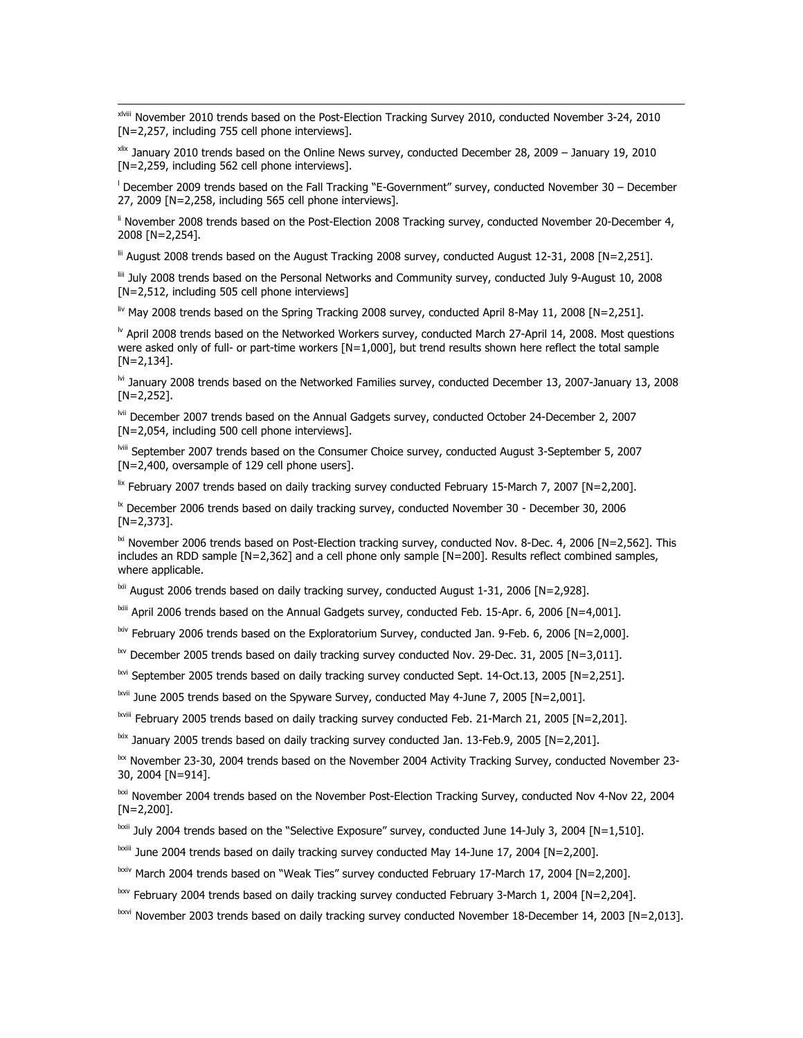xlviii November 2010 trends based on the Post-Election Tracking Survey 2010, conducted November 3-24, 2010 [N=2,257, including 755 cell phone interviews].

 $\overline{\phantom{a}}$ 

xlix January 2010 trends based on the Online News survey, conducted December 28, 2009 – January 19, 2010 [N=2,259, including 562 cell phone interviews].

l December 2009 trends based on the Fall Tracking "E-Government" survey, conducted November 30 – December 27, 2009 [N=2,258, including 565 cell phone interviews].

<sup>ii</sup> November 2008 trends based on the Post-Election 2008 Tracking survey, conducted November 20-December 4, 2008 [N=2,254].

 $\text{ln}$  August 2008 trends based on the August Tracking 2008 survey, conducted August 12-31, 2008 [N=2,251].

liii July 2008 trends based on the Personal Networks and Community survey, conducted July 9-August 10, 2008 [N=2,512, including 505 cell phone interviews]

 $\frac{1}{2}$ <sup>iv</sup> May 2008 trends based on the Spring Tracking 2008 survey, conducted April 8-May 11, 2008 [N=2,251].

 $\textsuperscript{b}$  April 2008 trends based on the Networked Workers survey, conducted March 27-April 14, 2008. Most questions were asked only of full- or part-time workers [N=1,000], but trend results shown here reflect the total sample [N=2,134].

 $\mathrm{^{M}}$  January 2008 trends based on the Networked Families survey, conducted December 13, 2007-January 13, 2008 [N=2,252].

lvii December 2007 trends based on the Annual Gadgets survey, conducted October 24-December 2, 2007 [N=2,054, including 500 cell phone interviews].

lviii September 2007 trends based on the Consumer Choice survey, conducted August 3-September 5, 2007 [N=2,400, oversample of 129 cell phone users].

 $\frac{1}{2}$  February 2007 trends based on daily tracking survey conducted February 15-March 7, 2007 [N=2,200].

 $\mathrm{I}^{\mathrm{k}}$  December 2006 trends based on daily tracking survey, conducted November 30 - December 30, 2006 [N=2,373].

 $\frac{1}{N}$  November 2006 trends based on Post-Election tracking survey, conducted Nov. 8-Dec. 4, 2006 [N=2,562]. This includes an RDD sample [N=2,362] and a cell phone only sample [N=200]. Results reflect combined samples, where applicable.

 $\frac{1}{N}$  August 2006 trends based on daily tracking survey, conducted August 1-31, 2006 [N=2,928].

 $\frac{\text{b}}{\text{m}}$  April 2006 trends based on the Annual Gadgets survey, conducted Feb. 15-Apr. 6, 2006 [N=4,001].

 $\frac{1}{N}$  February 2006 trends based on the Exploratorium Survey, conducted Jan. 9-Feb. 6, 2006 [N=2,000].

 $\frac{b}{v}$  December 2005 trends based on daily tracking survey conducted Nov. 29-Dec. 31, 2005 [N=3,011].

 $\frac{1}{2}$  September 2005 trends based on daily tracking survey conducted Sept. 14-Oct.13, 2005 [N=2,251].

<sup>lxvii</sup> June 2005 trends based on the Spyware Survey, conducted May 4-June 7, 2005 [N=2,001].

lxviii February 2005 trends based on daily tracking survey conducted Feb. 21-March 21, 2005 [N=2,201].

 $\frac{1}{x}$  January 2005 trends based on daily tracking survey conducted Jan. 13-Feb.9, 2005 [N=2,201].

lxx November 23-30, 2004 trends based on the November 2004 Activity Tracking Survey, conducted November 23-30, 2004 [N=914].

<sup>lxxi</sup> November 2004 trends based on the November Post-Election Tracking Survey, conducted Nov 4-Nov 22, 2004 [N=2,200].

<sup>lxxii</sup> July 2004 trends based on the "Selective Exposure" survey, conducted June 14-July 3, 2004 [N=1,510].

 $\frac{1}{2}$  June 2004 trends based on daily tracking survey conducted May 14-June 17, 2004 [N=2,200].

 $\frac{\text{box}}{\text{box}}$  March 2004 trends based on "Weak Ties" survey conducted February 17-March 17, 2004 [N=2,200].

 $\frac{b x v}{c}$  February 2004 trends based on daily tracking survey conducted February 3-March 1, 2004 [N=2,204].

lxxvi November 2003 trends based on daily tracking survey conducted November 18-December 14, 2003 [N=2,013].